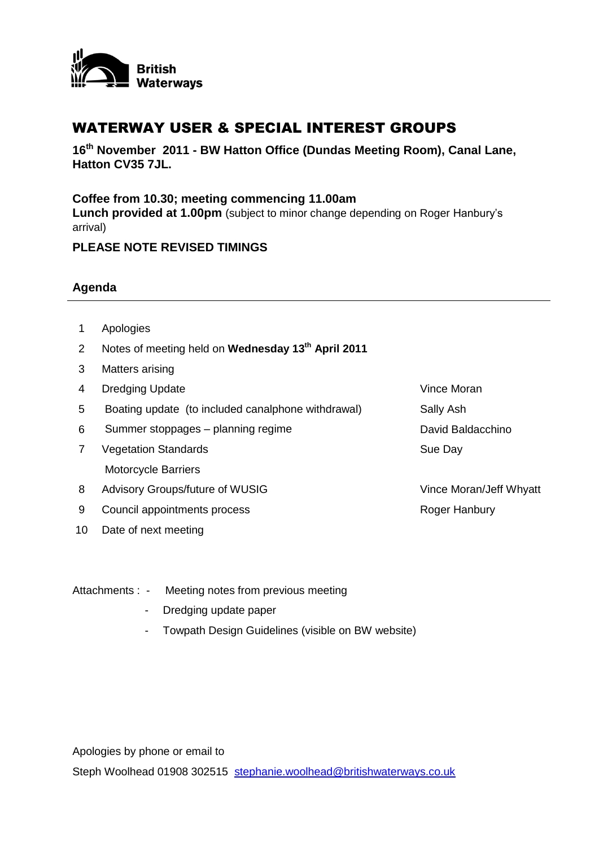

## WATERWAY USER & SPECIAL INTEREST GROUPS

**16th November 2011 - BW Hatton Office (Dundas Meeting Room), Canal Lane, Hatton CV35 7JL.** 

## **Coffee from 10.30; meeting commencing 11.00am**

**Lunch provided at 1.00pm** (subject to minor change depending on Roger Hanbury's arrival)

## **PLEASE NOTE REVISED TIMINGS**

## **Agenda**

- 1 Apologies
- 2 Notes of meeting held on **Wednesday 13th April 2011**
- 3 Matters arising
- 4 Dredging Update **Vince Moran**
- 5 Boating update (to included canalphone withdrawal) Sally Ash
- 6 Summer stoppages planning regime David Baldacchino
- 7 Vegetation Standards Motorcycle Barriers
- 8 Advisory Groups/future of WUSIG
- 9 Council appointments process
- 10 Date of next meeting

Sue Day

Vince Moran/Jeff Whyatt Roger Hanbury

- Attachments : Meeting notes from previous meeting
	- Dredging update paper
	- Towpath Design Guidelines (visible on BW website)

Apologies by phone or email to Steph Woolhead 01908 302515 [stephanie.woolhead@britishwaterways.co.uk](mailto:stephanie.woolhead@britishwaterways.co.uk)